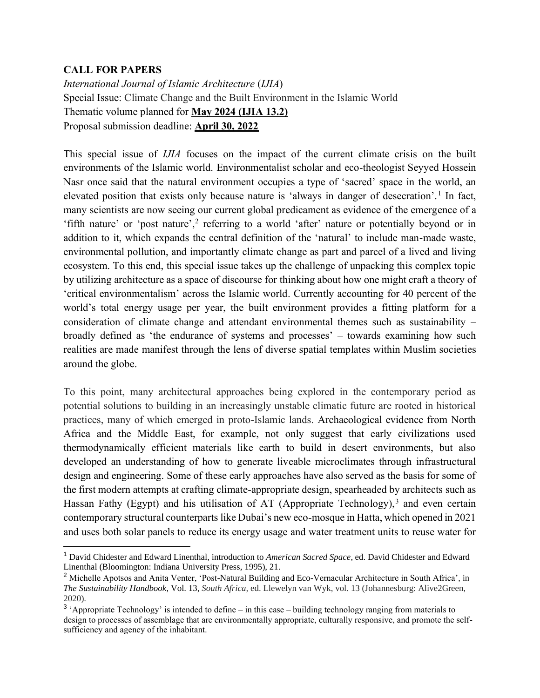## **CALL FOR PAPERS**

*International Journal of Islamic Architecture* (*IJIA*) Special Issue: Climate Change and the Built Environment in the Islamic World Thematic volume planned for **May 2024 (IJIA 13.2)** Proposal submission deadline: **April 30, 2022**

This special issue of *IJIA* focuses on the impact of the current climate crisis on the built environments of the Islamic world. Environmentalist scholar and eco-theologist Seyyed Hossein Nasr once said that the natural environment occupies a type of 'sacred' space in the world, an elevated position that exists only because nature is 'always in danger of desecration'.<sup>1</sup> In fact, many scientists are now seeing our current global predicament as evidence of the emergence of a 'fifth nature' or 'post nature',<sup>2</sup> referring to a world 'after' nature or potentially beyond or in addition to it, which expands the central definition of the 'natural' to include man-made waste, environmental pollution, and importantly climate change as part and parcel of a lived and living ecosystem. To this end, this special issue takes up the challenge of unpacking this complex topic by utilizing architecture as a space of discourse for thinking about how one might craft a theory of 'critical environmentalism' across the Islamic world. Currently accounting for 40 percent of the world's total energy usage per year, the built environment provides a fitting platform for a consideration of climate change and attendant environmental themes such as sustainability – broadly defined as 'the endurance of systems and processes' – towards examining how such realities are made manifest through the lens of diverse spatial templates within Muslim societies around the globe.

To this point, many architectural approaches being explored in the contemporary period as potential solutions to building in an increasingly unstable climatic future are rooted in historical practices, many of which emerged in proto-Islamic lands. Archaeological evidence from North Africa and the Middle East, for example, not only suggest that early civilizations used thermodynamically efficient materials like earth to build in desert environments, but also developed an understanding of how to generate liveable microclimates through infrastructural design and engineering. Some of these early approaches have also served as the basis for some of the first modern attempts at crafting climate-appropriate design, spearheaded by architects such as Hassan Fathy (Egypt) and his utilisation of AT (Appropriate Technology), $3$  and even certain contemporary structural counterparts like Dubai's new eco-mosque in Hatta, which opened in 2021 and uses both solar panels to reduce its energy usage and water treatment units to reuse water for

<sup>1</sup> David Chidester and Edward Linenthal, introduction to *American Sacred Space*, ed. David Chidester and Edward Linenthal (Bloomington: Indiana University Press, 1995), 21.

<sup>2</sup> Michelle Apotsos and Anita Venter, 'Post-Natural Building and Eco-Vernacular Architecture in South Africa', in *The Sustainability Handbook*, Vol. 13, *South Africa,* ed. Llewelyn van Wyk, vol. 13 (Johannesburg: Alive2Green, 2020).

<sup>&</sup>lt;sup>3</sup> 'Appropriate Technology' is intended to define – in this case – building technology ranging from materials to design to processes of assemblage that are environmentally appropriate, culturally responsive, and promote the selfsufficiency and agency of the inhabitant.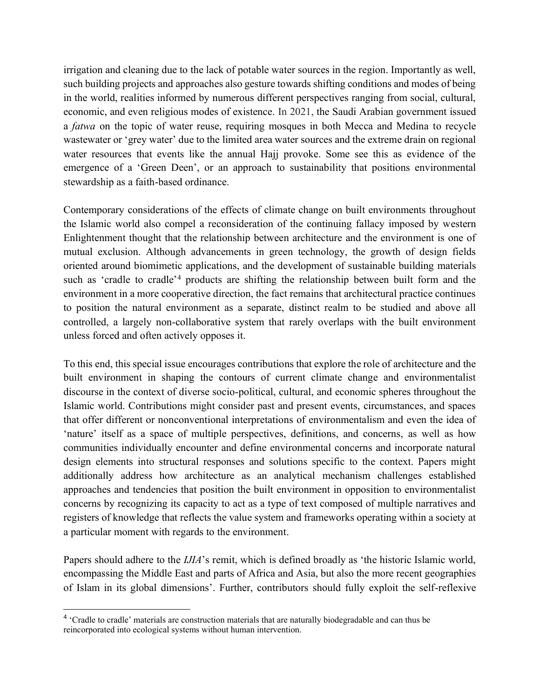irrigation and cleaning due to the lack of potable water sources in the region. Importantly as well, such building projects and approaches also gesture towards shifting conditions and modes of being in the world, realities informed by numerous different perspectives ranging from social, cultural, economic, and even religious modes of existence. In 2021, the Saudi Arabian government issued a *fatwa* on the topic of water reuse, requiring mosques in both Mecca and Medina to recycle wastewater or 'grey water' due to the limited area water sources and the extreme drain on regional water resources that events like the annual Hajj provoke. Some see this as evidence of the emergence of a 'Green Deen', or an approach to sustainability that positions environmental stewardship as a faith-based ordinance.

Contemporary considerations of the effects of climate change on built environments throughout the Islamic world also compel a reconsideration of the continuing fallacy imposed by western Enlightenment thought that the relationship between architecture and the environment is one of mutual exclusion. Although advancements in green technology, the growth of design fields oriented around biomimetic applications, and the development of sustainable building materials such as 'cradle to cradle'<sup>4</sup> products are shifting the relationship between built form and the environment in a more cooperative direction, the fact remains that architectural practice continues to position the natural environment as a separate, distinct realm to be studied and above all controlled, a largely non-collaborative system that rarely overlaps with the built environment unless forced and often actively opposes it.

To this end, this special issue encourages contributions that explore the role of architecture and the built environment in shaping the contours of current climate change and environmentalist discourse in the context of diverse socio-political, cultural, and economic spheres throughout the Islamic world. Contributions might consider past and present events, circumstances, and spaces that offer different or nonconventional interpretations of environmentalism and even the idea of 'nature' itself as a space of multiple perspectives, definitions, and concerns, as well as how communities individually encounter and define environmental concerns and incorporate natural design elements into structural responses and solutions specific to the context. Papers might additionally address how architecture as an analytical mechanism challenges established approaches and tendencies that position the built environment in opposition to environmentalist concerns by recognizing its capacity to act as a type of text composed of multiple narratives and registers of knowledge that reflects the value system and frameworks operating within a society at a particular moment with regards to the environment.

Papers should adhere to the *IJIA*'s remit, which is defined broadly as 'the historic Islamic world, encompassing the Middle East and parts of Africa and Asia, but also the more recent geographies of Islam in its global dimensions'. Further, contributors should fully exploit the self-reflexive

<sup>&</sup>lt;sup>4</sup> 'Cradle to cradle' materials are construction materials that are naturally biodegradable and can thus be reincorporated into ecological systems without human intervention.